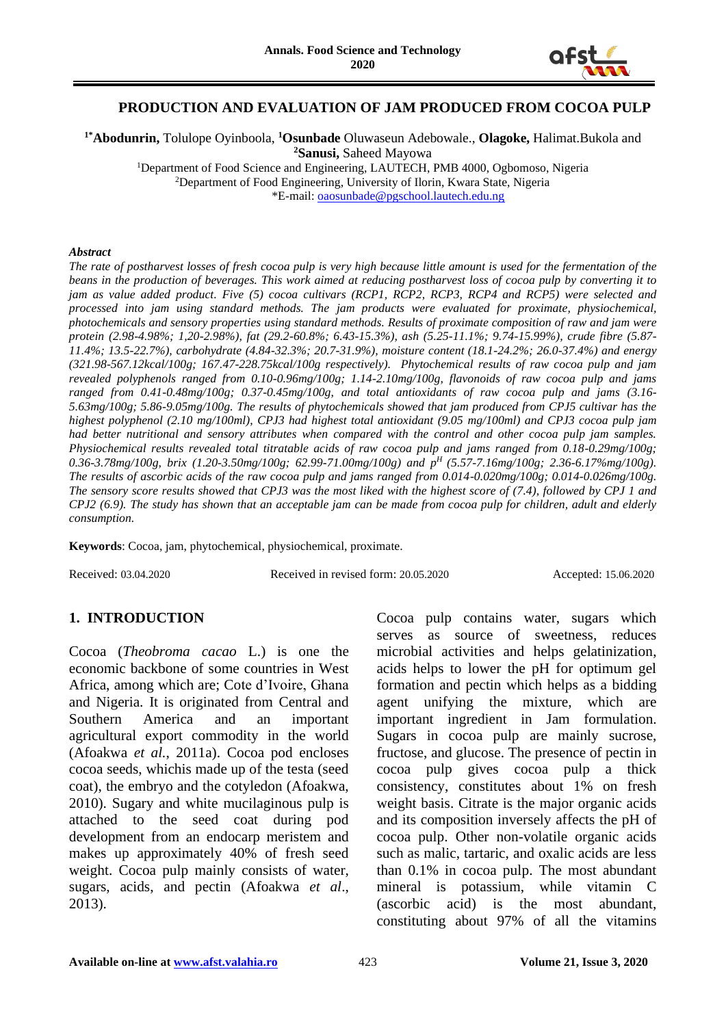

### **PRODUCTION AND EVALUATION OF JAM PRODUCED FROM COCOA PULP**

**1\*Abodunrin,** Tolulope Oyinboola, **<sup>1</sup>Osunbade** Oluwaseun Adebowale., **Olagoke,** Halimat.Bukola and **<sup>2</sup>Sanusi,** Saheed Mayowa

<sup>1</sup>Department of Food Science and Engineering, LAUTECH, PMB 4000, Ogbomoso, Nigeria <sup>2</sup>Department of Food Engineering, University of Ilorin, Kwara State, Nigeria \*E-mail[: oaosunbade@pgschool.lautech.edu.ng](mailto:oaosunbade@pgschool.lautech.edu.ng)

#### *Abstract*

*The rate of postharvest losses of fresh cocoa pulp is very high because little amount is used for the fermentation of the beans in the production of beverages. This work aimed at reducing postharvest loss of cocoa pulp by converting it to jam as value added product. Five (5) cocoa cultivars (RCP1, RCP2, RCP3, RCP4 and RCP5) were selected and processed into jam using standard methods. The jam products were evaluated for proximate, physiochemical, photochemicals and sensory properties using standard methods. Results of proximate composition of raw and jam were protein (2.98-4.98%; 1,20-2.98%), fat (29.2-60.8%; 6.43-15.3%), ash (5.25-11.1%; 9.74-15.99%), crude fibre (5.87- 11.4%; 13.5-22.7%), carbohydrate (4.84-32.3%; 20.7-31.9%), moisture content (18.1-24.2%; 26.0-37.4%) and energy (321.98-567.12kcal/100g; 167.47-228.75kcal/100g respectively). Phytochemical results of raw cocoa pulp and jam revealed polyphenols ranged from 0.10-0.96mg/100g; 1.14-2.10mg/100g, flavonoids of raw cocoa pulp and jams ranged from 0.41-0.48mg/100g; 0.37-0.45mg/100g, and total antioxidants of raw cocoa pulp and jams (3.16- 5.63mg/100g; 5.86-9.05mg/100g. The results of phytochemicals showed that jam produced from CPJ5 cultivar has the highest polyphenol (2.10 mg/100ml), CPJ3 had highest total antioxidant (9.05 mg/100ml) and CPJ3 cocoa pulp jam had better nutritional and sensory attributes when compared with the control and other cocoa pulp jam samples. Physiochemical results revealed total titratable acids of raw cocoa pulp and jams ranged from 0.18-0.29mg/100g; 0.36-3.78mg/100g, brix (1.20-3.50mg/100g; 62.99-71.00mg/100g) and p<sup>H</sup> (5.57-7.16mg/100g; 2.36-6.17%mg/100g). The results of ascorbic acids of the raw cocoa pulp and jams ranged from 0.014-0.020mg/100g; 0.014-0.026mg/100g. The sensory score results showed that CPJ3 was the most liked with the highest score of (7.4), followed by CPJ 1 and CPJ2 (6.9). The study has shown that an acceptable jam can be made from cocoa pulp for children, adult and elderly consumption.*

**Keywords**: Cocoa, jam, phytochemical, physiochemical, proximate.

Received: 03.04.2020 Received in revised form: 20.05.2020 Accepted: 15.06.2020

### **1. INTRODUCTION**

Cocoa (*Theobroma cacao* L.) is one the economic backbone of some countries in West Africa, among which are; Cote d'Ivoire, Ghana and Nigeria. It is originated from Central and Southern America and an important agricultural export commodity in the world (Afoakwa *et al.*, 2011a). Cocoa pod encloses cocoa seeds, whichis made up of the testa (seed coat), the embryo and the cotyledon (Afoakwa, 2010). Sugary and white mucilaginous pulp is attached to the seed coat during pod development from an endocarp meristem and makes up approximately 40% of fresh seed weight. Cocoa pulp mainly consists of water, sugars, acids, and pectin (Afoakwa *et al*., 2013).

Cocoa pulp contains water, sugars which serves as source of sweetness, reduces microbial activities and helps gelatinization, acids helps to lower the pH for optimum gel formation and pectin which helps as a bidding agent unifying the mixture, which are important ingredient in Jam formulation. Sugars in cocoa pulp are mainly sucrose, fructose, and glucose. The presence of pectin in cocoa pulp gives cocoa pulp a thick consistency, constitutes about 1% on fresh weight basis. Citrate is the major organic acids and its composition inversely affects the pH of cocoa pulp. Other non-volatile organic acids such as malic, tartaric, and oxalic acids are less than 0.1% in cocoa pulp. The most abundant mineral is potassium, while vitamin C (ascorbic acid) is the most abundant, constituting about 97% of all the vitamins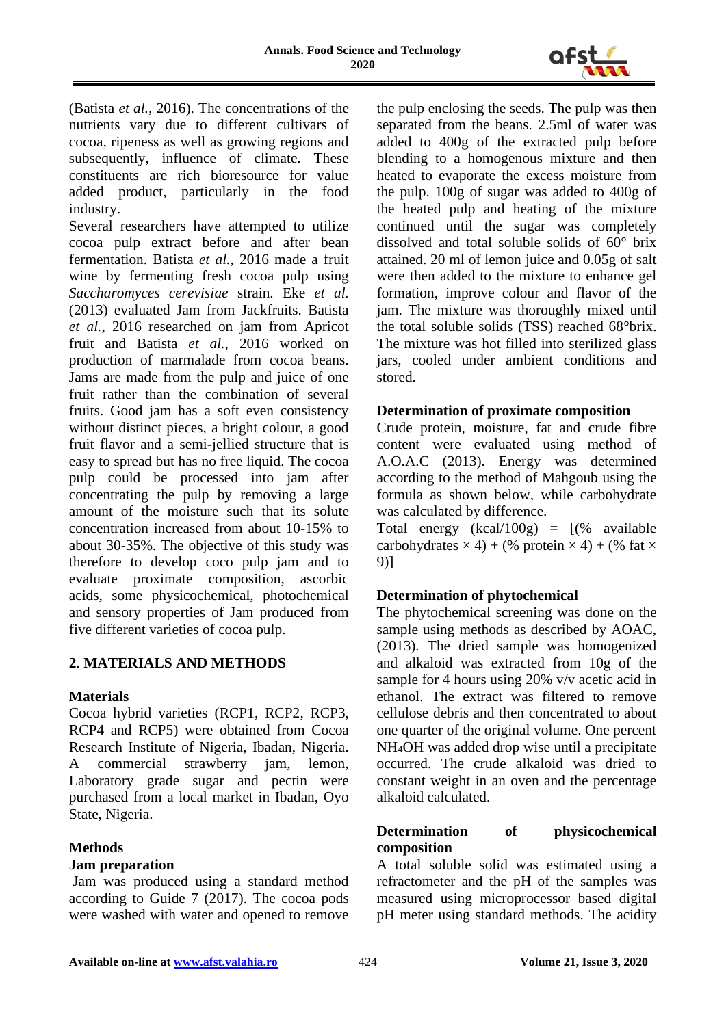

(Batista *et al.,* 2016). The concentrations of the nutrients vary due to different cultivars of cocoa, ripeness as well as growing regions and subsequently, influence of climate. These constituents are rich bioresource for value added product, particularly in the food industry.

Several researchers have attempted to utilize cocoa pulp extract before and after bean fermentation. Batista *et al.,* 2016 made a fruit wine by fermenting fresh cocoa pulp using *Saccharomyces cerevisiae* strain. Eke *et al.* (2013) evaluated Jam from Jackfruits. Batista *et al.,* 2016 researched on jam from Apricot fruit and Batista *et al.,* 2016 worked on production of marmalade from cocoa beans. Jams are made from the pulp and juice of one fruit rather than the combination of several fruits. Good jam has a soft even consistency without distinct pieces, a bright colour, a good fruit flavor and a semi-jellied structure that is easy to spread but has no free liquid. The cocoa pulp could be processed into jam after concentrating the pulp by removing a large amount of the moisture such that its solute concentration increased from about 10-15% to about 30-35%. The objective of this study was therefore to develop coco pulp jam and to evaluate proximate composition, ascorbic acids, some physicochemical, photochemical and sensory properties of Jam produced from five different varieties of cocoa pulp.

# **2. MATERIALS AND METHODS**

### **Materials**

Cocoa hybrid varieties (RCP1, RCP2, RCP3, RCP4 and RCP5) were obtained from Cocoa Research Institute of Nigeria, Ibadan, Nigeria. A commercial strawberry jam, lemon, Laboratory grade sugar and pectin were purchased from a local market in Ibadan, Oyo State, Nigeria.

# **Methods**

### **Jam preparation**

Jam was produced using a standard method according to Guide 7 (2017). The cocoa pods were washed with water and opened to remove

the pulp enclosing the seeds. The pulp was then separated from the beans. 2.5ml of water was added to 400g of the extracted pulp before blending to a homogenous mixture and then heated to evaporate the excess moisture from the pulp. 100g of sugar was added to 400g of the heated pulp and heating of the mixture continued until the sugar was completely dissolved and total soluble solids of 60° brix attained. 20 ml of lemon juice and 0.05g of salt were then added to the mixture to enhance gel formation, improve colour and flavor of the jam. The mixture was thoroughly mixed until the total soluble solids (TSS) reached 68°brix. The mixture was hot filled into sterilized glass jars, cooled under ambient conditions and stored.

# **Determination of proximate composition**

Crude protein, moisture, fat and crude fibre content were evaluated using method of A.O.A.C (2013). Energy was determined according to the method of Mahgoub using the formula as shown below, while carbohydrate was calculated by difference.

Total energy  $(kcal/100g) = [(% \space available$ carbohydrates  $\times$  4) + (% protein  $\times$  4) + (% fat  $\times$ 9)]

# **Determination of phytochemical**

The phytochemical screening was done on the sample using methods as described by AOAC, (2013). The dried sample was homogenized and alkaloid was extracted from 10g of the sample for 4 hours using 20% v/v acetic acid in ethanol. The extract was filtered to remove cellulose debris and then concentrated to about one quarter of the original volume. One percent NH4OH was added drop wise until a precipitate occurred. The crude alkaloid was dried to constant weight in an oven and the percentage alkaloid calculated.

# **Determination of physicochemical composition**

A total soluble solid was estimated using a refractometer and the pH of the samples was measured using microprocessor based digital pH meter using standard methods. The acidity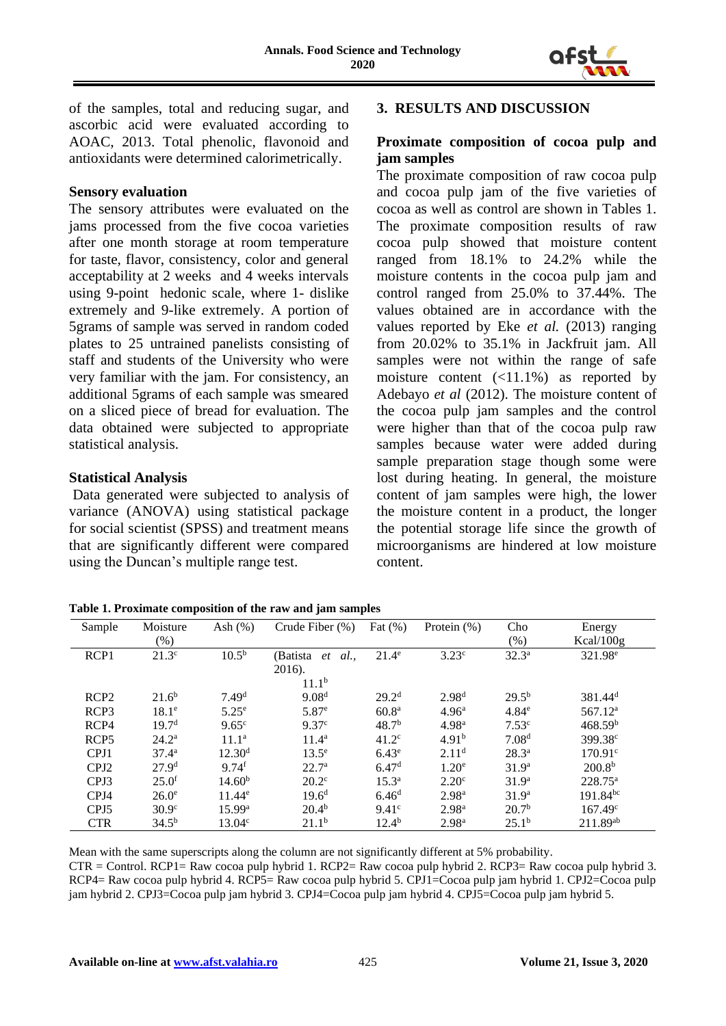

of the samples, total and reducing sugar, and ascorbic acid were evaluated according to AOAC, 2013. Total phenolic, flavonoid and antioxidants were determined calorimetrically.

### **Sensory evaluation**

The sensory attributes were evaluated on the jams processed from the five cocoa varieties after one month storage at room temperature for taste, flavor, consistency, color and general acceptability at 2 weeks and 4 weeks intervals using 9-point hedonic scale, where 1- dislike extremely and 9-like extremely. A portion of 5grams of sample was served in random coded plates to 25 untrained panelists consisting of staff and students of the University who were very familiar with the jam. For consistency, an additional 5grams of each sample was smeared on a sliced piece of bread for evaluation. The data obtained were subjected to appropriate statistical analysis.

### **Statistical Analysis**

Data generated were subjected to analysis of variance (ANOVA) using statistical package for social scientist (SPSS) and treatment means that are significantly different were compared using the Duncan's multiple range test.

# **3. RESULTS AND DISCUSSION**

# **Proximate composition of cocoa pulp and jam samples**

The proximate composition of raw cocoa pulp and cocoa pulp jam of the five varieties of cocoa as well as control are shown in Tables 1. The proximate composition results of raw cocoa pulp showed that moisture content ranged from 18.1% to 24.2% while the moisture contents in the cocoa pulp jam and control ranged from 25.0% to 37.44%. The values obtained are in accordance with the values reported by Eke *et al.* (2013) ranging from 20.02% to 35.1% in Jackfruit jam. All samples were not within the range of safe moisture content  $(\langle 11.1\% \rangle)$  as reported by Adebayo *et al* (2012). The moisture content of the cocoa pulp jam samples and the control were higher than that of the cocoa pulp raw samples because water were added during sample preparation stage though some were lost during heating. In general, the moisture content of jam samples were high, the lower the moisture content in a product, the longer the potential storage life since the growth of microorganisms are hindered at low moisture content.

| Table 1. Proximate composition of the raw and jam samples |  |  |  |
|-----------------------------------------------------------|--|--|--|
|-----------------------------------------------------------|--|--|--|

| Sample           | Moisture<br>$(\% )$ | Ash $(\%)$          | Crude Fiber $(\%)$                         | Fat $(\%)$        | Protein $(\%)$    | Cho<br>(% )       | Energy<br>Kcal/100g   |
|------------------|---------------------|---------------------|--------------------------------------------|-------------------|-------------------|-------------------|-----------------------|
| RCP <sub>1</sub> | $21.3^{\circ}$      | $10.5^{b}$          | (Batista<br><i>al.,</i><br>et<br>$2016$ ). | $21.4^\circ$      | $3.23^{\circ}$    | $32.3^a$          | 321.98 <sup>e</sup>   |
|                  |                     |                     | 11.1 <sup>b</sup>                          |                   |                   |                   |                       |
| RCP <sub>2</sub> | $21.6^{b}$          | 7.49 <sup>d</sup>   | 9.08 <sup>d</sup>                          | $29.2^{\rm d}$    | $2.98^{d}$        | $29.5^{b}$        | $381.44$ <sup>d</sup> |
| RCP <sub>3</sub> | 18.1 <sup>e</sup>   | $5.25^{\circ}$      | $5.87^{\circ}$                             | 60.8 <sup>a</sup> | 4.96 <sup>a</sup> | 4.84 <sup>e</sup> | 567.12 <sup>a</sup>   |
| RCP4             | 19.7 <sup>d</sup>   | $9.65^{\circ}$      | 9.37 <sup>c</sup>                          | 48.7 <sup>b</sup> | 4.98 <sup>a</sup> | 7.53c             | 468.59 <sup>b</sup>   |
| RCP <sub>5</sub> | $24.2^{\rm a}$      | 11.1 <sup>a</sup>   | $11.4^a$                                   | 41.2 <sup>c</sup> | 4.91 <sup>b</sup> | 7.08 <sup>d</sup> | 399.38 <sup>c</sup>   |
| CPJ1             | 37.4 <sup>a</sup>   | 12.30 <sup>d</sup>  | $13.5^e$                                   | 6.43 <sup>e</sup> | 2.11 <sup>d</sup> | $28.3^{\rm a}$    | $170.91^{\circ}$      |
| CPJ <sub>2</sub> | 27.9 <sup>d</sup>   | $9.74$ <sup>f</sup> | 22.7 <sup>a</sup>                          | 6.47 <sup>d</sup> | $1.20^e$          | 31.9 <sup>a</sup> | 200.8 <sup>b</sup>    |
| CPJ3             | $25.0^{\rm f}$      | 14.60 <sup>b</sup>  | $20.2^{\circ}$                             | $15.3^{\circ}$    | 2.20 <sup>c</sup> | 31.9 <sup>a</sup> | $228.75^{\rm a}$      |
| CPJ4             | $26.0^e$            | $11.44^e$           | 19.6 <sup>d</sup>                          | 6.46 <sup>d</sup> | 2.98 <sup>a</sup> | 31.9 <sup>a</sup> | $191.84^{bc}$         |
| CPJ <sub>5</sub> | 30.9 <sup>c</sup>   | 15.99a              | $20.4^{b}$                                 | 9.41 <sup>c</sup> | 2.98 <sup>a</sup> | 20.7 <sup>b</sup> | $167.49^{\circ}$      |
| <b>CTR</b>       | $34.5^{b}$          | $13.04^{\circ}$     | $21.1^b$                                   | $12.4^{b}$        | 2.98 <sup>a</sup> | $25.1^b$          | 211.89ab              |

Mean with the same superscripts along the column are not significantly different at 5% probability. CTR = Control. RCP1= Raw cocoa pulp hybrid 1. RCP2= Raw cocoa pulp hybrid 2. RCP3= Raw cocoa pulp hybrid 3. RCP4= Raw cocoa pulp hybrid 4. RCP5= Raw cocoa pulp hybrid 5. CPJ1=Cocoa pulp jam hybrid 1. CPJ2=Cocoa pulp jam hybrid 2. CPJ3=Cocoa pulp jam hybrid 3. CPJ4=Cocoa pulp jam hybrid 4. CPJ5=Cocoa pulp jam hybrid 5.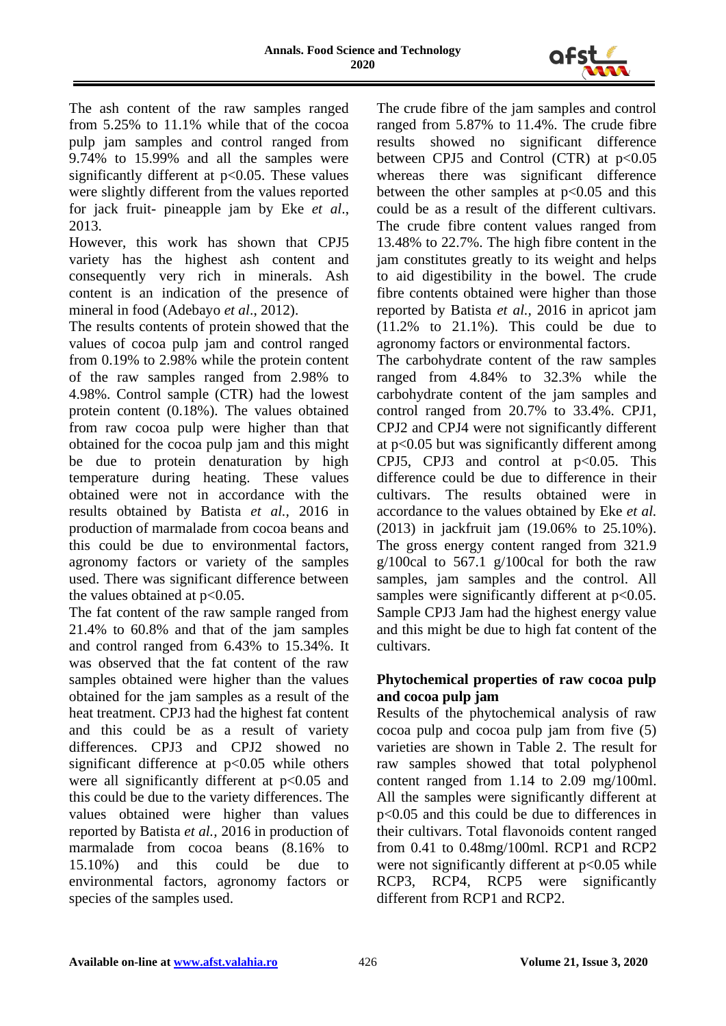

The ash content of the raw samples ranged from 5.25% to 11.1% while that of the cocoa pulp jam samples and control ranged from 9.74% to 15.99% and all the samples were significantly different at  $p<0.05$ . These values were slightly different from the values reported for jack fruit- pineapple jam by Eke *et al*., 2013.

However, this work has shown that CPJ5 variety has the highest ash content and consequently very rich in minerals. Ash content is an indication of the presence of mineral in food (Adebayo *et al*., 2012).

The results contents of protein showed that the values of cocoa pulp jam and control ranged from 0.19% to 2.98% while the protein content of the raw samples ranged from 2.98% to 4.98%. Control sample (CTR) had the lowest protein content (0.18%). The values obtained from raw cocoa pulp were higher than that obtained for the cocoa pulp jam and this might be due to protein denaturation by high temperature during heating. These values obtained were not in accordance with the results obtained by Batista *et al.,* 2016 in production of marmalade from cocoa beans and this could be due to environmental factors, agronomy factors or variety of the samples used. There was significant difference between the values obtained at  $p<0.05$ .

The fat content of the raw sample ranged from 21.4% to 60.8% and that of the jam samples and control ranged from 6.43% to 15.34%. It was observed that the fat content of the raw samples obtained were higher than the values obtained for the jam samples as a result of the heat treatment. CPJ3 had the highest fat content and this could be as a result of variety differences. CPJ3 and CPJ2 showed no significant difference at  $p<0.05$  while others were all significantly different at  $p<0.05$  and this could be due to the variety differences. The values obtained were higher than values reported by Batista *et al.,* 2016 in production of marmalade from cocoa beans (8.16% to 15.10%) and this could be due to environmental factors, agronomy factors or species of the samples used.

The crude fibre of the jam samples and control ranged from 5.87% to 11.4%. The crude fibre results showed no significant difference between CPJ5 and Control (CTR) at  $p<0.05$ whereas there was significant difference between the other samples at  $p<0.05$  and this could be as a result of the different cultivars. The crude fibre content values ranged from 13.48% to 22.7%. The high fibre content in the jam constitutes greatly to its weight and helps to aid digestibility in the bowel. The crude fibre contents obtained were higher than those reported by Batista *et al.,* 2016 in apricot jam (11.2% to 21.1%). This could be due to agronomy factors or environmental factors.

The carbohydrate content of the raw samples ranged from 4.84% to 32.3% while the carbohydrate content of the jam samples and control ranged from 20.7% to 33.4%. CPJ1, CPJ2 and CPJ4 were not significantly different at p<0.05 but was significantly different among CPJ5, CPJ3 and control at  $p<0.05$ . This difference could be due to difference in their cultivars. The results obtained were in accordance to the values obtained by Eke *et al.* (2013) in jackfruit jam (19.06% to 25.10%). The gross energy content ranged from 321.9  $g/100c$ al to 567.1  $g/100c$ al for both the raw samples, jam samples and the control. All samples were significantly different at  $p<0.05$ . Sample CPJ3 Jam had the highest energy value and this might be due to high fat content of the cultivars.

# **Phytochemical properties of raw cocoa pulp and cocoa pulp jam**

Results of the phytochemical analysis of raw cocoa pulp and cocoa pulp jam from five (5) varieties are shown in Table 2. The result for raw samples showed that total polyphenol content ranged from 1.14 to 2.09 mg/100ml. All the samples were significantly different at p<0.05 and this could be due to differences in their cultivars. Total flavonoids content ranged from 0.41 to 0.48mg/100ml. RCP1 and RCP2 were not significantly different at  $p<0.05$  while RCP3, RCP4, RCP5 were significantly different from RCP1 and RCP2.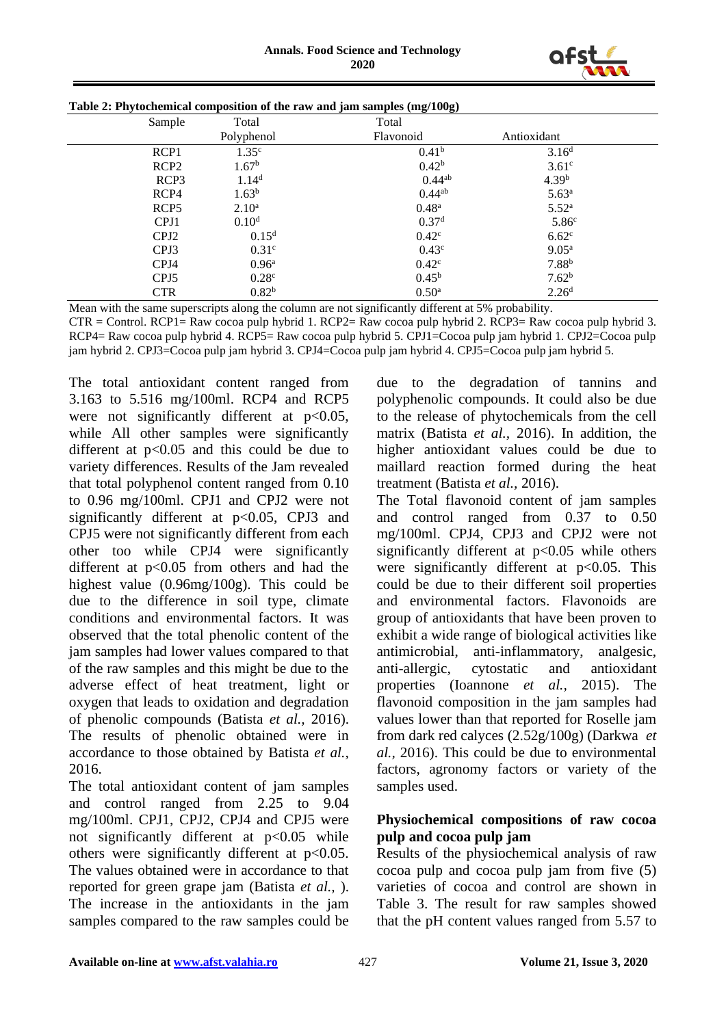

| Sample           | Total             | Total             |                   |  |
|------------------|-------------------|-------------------|-------------------|--|
|                  | Polyphenol        | Flavonoid         | Antioxidant       |  |
| RCP1             | 1.35 <sup>c</sup> | 0.41 <sup>b</sup> | 3.16 <sup>d</sup> |  |
| RCP <sub>2</sub> | 1.67 <sup>b</sup> | 0.42 <sup>b</sup> | 3.61 <sup>c</sup> |  |
| RCP <sub>3</sub> | 1.14 <sup>d</sup> | $0.44^{ab}$       | 4.39 <sup>b</sup> |  |
| RCP4             | $1.63^b$          | 0.44ab            | $5.63^{\rm a}$    |  |
| RCP <sub>5</sub> | $2.10^{\rm a}$    | $0.48^{\rm a}$    | $5.52^{\rm a}$    |  |
| CPJ1             | 0.10 <sup>d</sup> | 0.37 <sup>d</sup> | 5.86 <sup>c</sup> |  |
| CPJ <sub>2</sub> | 0.15 <sup>d</sup> | $0.42^{\circ}$    | 6.62 <sup>c</sup> |  |
| CPJ3             | 0.31 <sup>c</sup> | 0.43 <sup>c</sup> | $9.05^{\rm a}$    |  |
| CPJ4             | $0.96^{\rm a}$    | $0.42^{\circ}$    | $7.88^{b}$        |  |
| CPJ <sub>5</sub> | 0.28 <sup>c</sup> | $0.45^{\rm b}$    | 7.62 <sup>b</sup> |  |
| <b>CTR</b>       | 0.82 <sup>b</sup> | $0.50^{\rm a}$    | 2.26 <sup>d</sup> |  |

| Table 2: Phytochemical composition of the raw and jam samples (mg/100g) |  |  |
|-------------------------------------------------------------------------|--|--|
|-------------------------------------------------------------------------|--|--|

Mean with the same superscripts along the column are not significantly different at 5% probability.

CTR = Control. RCP1= Raw cocoa pulp hybrid 1. RCP2= Raw cocoa pulp hybrid 2. RCP3= Raw cocoa pulp hybrid 3. RCP4= Raw cocoa pulp hybrid 4. RCP5= Raw cocoa pulp hybrid 5. CPJ1=Cocoa pulp jam hybrid 1. CPJ2=Cocoa pulp jam hybrid 2. CPJ3=Cocoa pulp jam hybrid 3. CPJ4=Cocoa pulp jam hybrid 4. CPJ5=Cocoa pulp jam hybrid 5.

The total antioxidant content ranged from 3.163 to 5.516 mg/100ml. RCP4 and RCP5 were not significantly different at  $p<0.05$ , while All other samples were significantly different at  $p<0.05$  and this could be due to variety differences. Results of the Jam revealed that total polyphenol content ranged from 0.10 to 0.96 mg/100ml. CPJ1 and CPJ2 were not significantly different at  $p<0.05$ , CPJ3 and CPJ5 were not significantly different from each other too while CPJ4 were significantly different at  $p<0.05$  from others and had the highest value (0.96mg/100g). This could be due to the difference in soil type, climate conditions and environmental factors. It was observed that the total phenolic content of the jam samples had lower values compared to that of the raw samples and this might be due to the adverse effect of heat treatment, light or oxygen that leads to oxidation and degradation of phenolic compounds (Batista *et al.,* 2016). The results of phenolic obtained were in accordance to those obtained by Batista *et al.,* 2016.

The total antioxidant content of jam samples and control ranged from 2.25 to 9.04 mg/100ml. CPJ1, CPJ2, CPJ4 and CPJ5 were not significantly different at  $p<0.05$  while others were significantly different at p<0.05. The values obtained were in accordance to that reported for green grape jam (Batista *et al.,* ). The increase in the antioxidants in the jam samples compared to the raw samples could be due to the degradation of tannins and polyphenolic compounds. It could also be due to the release of phytochemicals from the cell matrix (Batista *et al.,* 2016). In addition, the higher antioxidant values could be due to maillard reaction formed during the heat treatment (Batista *et al.,* 2016).

The Total flavonoid content of jam samples and control ranged from 0.37 to 0.50 mg/100ml. CPJ4, CPJ3 and CPJ2 were not significantly different at  $p<0.05$  while others were significantly different at p<0.05. This could be due to their different soil properties and environmental factors. Flavonoids are group of antioxidants that have been proven to exhibit a wide range of biological activities like antimicrobial, anti-inflammatory, analgesic, anti-allergic, cytostatic and antioxidant properties (Ioannone *et al.,* 2015). The flavonoid composition in the jam samples had values lower than that reported for Roselle jam from dark red calyces (2.52g/100g) (Darkwa *et al.,* 2016). This could be due to environmental factors, agronomy factors or variety of the samples used.

# **Physiochemical compositions of raw cocoa pulp and cocoa pulp jam**

Results of the physiochemical analysis of raw cocoa pulp and cocoa pulp jam from five (5) varieties of cocoa and control are shown in Table 3. The result for raw samples showed that the pH content values ranged from 5.57 to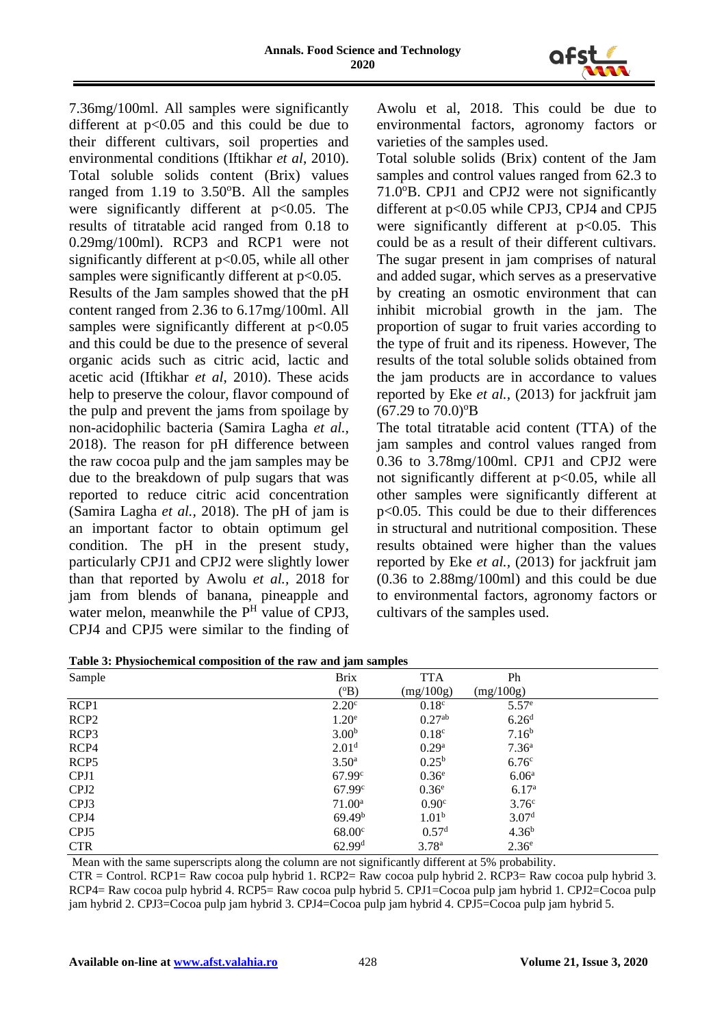

7.36mg/100ml. All samples were significantly different at  $p<0.05$  and this could be due to their different cultivars, soil properties and environmental conditions (Iftikhar *et al*, 2010). Total soluble solids content (Brix) values ranged from  $1.19$  to  $3.50^{\circ}B$ . All the samples were significantly different at  $p<0.05$ . The results of titratable acid ranged from 0.18 to 0.29mg/100ml). RCP3 and RCP1 were not significantly different at  $p<0.05$ , while all other samples were significantly different at  $p<0.05$ .

Results of the Jam samples showed that the pH content ranged from 2.36 to 6.17mg/100ml. All samples were significantly different at  $p<0.05$ and this could be due to the presence of several organic acids such as citric acid, lactic and acetic acid (Iftikhar *et al*, 2010). These acids help to preserve the colour, flavor compound of the pulp and prevent the jams from spoilage by non-acidophilic bacteria (Samira Lagha *et al.,* 2018). The reason for pH difference between the raw cocoa pulp and the jam samples may be due to the breakdown of pulp sugars that was reported to reduce citric acid concentration (Samira Lagha *et al.,* 2018). The pH of jam is an important factor to obtain optimum gel condition. The pH in the present study, particularly CPJ1 and CPJ2 were slightly lower than that reported by Awolu *et al.,* 2018 for jam from blends of banana, pineapple and water melon, meanwhile the  $P<sup>H</sup>$  value of CPJ3, CPJ4 and CPJ5 were similar to the finding of

Awolu et al, 2018. This could be due to environmental factors, agronomy factors or varieties of the samples used.

Total soluble solids (Brix) content of the Jam samples and control values ranged from 62.3 to 71.0°B. CPJ1 and CPJ2 were not significantly different at p<0.05 while CPJ3, CPJ4 and CPJ5 were significantly different at  $p<0.05$ . This could be as a result of their different cultivars. The sugar present in jam comprises of natural and added sugar, which serves as a preservative by creating an osmotic environment that can inhibit microbial growth in the jam. The proportion of sugar to fruit varies according to the type of fruit and its ripeness. However, The results of the total soluble solids obtained from the jam products are in accordance to values reported by Eke *et al.,* (2013) for jackfruit jam  $(67.29 \text{ to } 70.0)$ <sup>o</sup>B

The total titratable acid content (TTA) of the jam samples and control values ranged from 0.36 to 3.78mg/100ml. CPJ1 and CPJ2 were not significantly different at  $p<0.05$ , while all other samples were significantly different at p<0.05. This could be due to their differences in structural and nutritional composition. These results obtained were higher than the values reported by Eke *et al.,* (2013) for jackfruit jam (0.36 to 2.88mg/100ml) and this could be due to environmental factors, agronomy factors or cultivars of the samples used.

| Table 3: Physiochemical composition of the raw and jam samples |  |  |
|----------------------------------------------------------------|--|--|
|                                                                |  |  |

| Sample           | <b>Brix</b>        | <b>TTA</b>         | Ph                |
|------------------|--------------------|--------------------|-------------------|
|                  | $(^{\circ}B)$      | (mg/100g)          | (mg/100g)         |
| RCP <sub>1</sub> | 2.20 <sup>c</sup>  | 0.18 <sup>c</sup>  | 5.57 <sup>e</sup> |
| RCP <sub>2</sub> | 1.20 <sup>e</sup>  | 0.27 <sup>ab</sup> | 6.26 <sup>d</sup> |
| RCP <sub>3</sub> | 3.00 <sup>b</sup>  | 0.18 <sup>c</sup>  | 7.16 <sup>b</sup> |
| RCP4             | 2.01 <sup>d</sup>  | 0.29 <sup>a</sup>  | 7.36 <sup>a</sup> |
| RCP5             | 3.50 <sup>a</sup>  | $0.25^{b}$         | 6.76 <sup>c</sup> |
| CPJ1             | 67.99 <sup>c</sup> | 0.36 <sup>e</sup>  | 6.06 <sup>a</sup> |
| CPJ <sub>2</sub> | 67.99 <sup>c</sup> | 0.36 <sup>e</sup>  | 6.17 <sup>a</sup> |
| CPJ3             | $71.00^{\rm a}$    | 0.90 <sup>c</sup>  | 3.76 <sup>c</sup> |
| CPJ4             | 69.49 <sup>b</sup> | 1.01 <sup>b</sup>  | 3.07 <sup>d</sup> |
| CPJ <sub>5</sub> | 68.00 <sup>c</sup> | 0.57 <sup>d</sup>  | $4.36^{b}$        |
| <b>CTR</b>       | 62.99 <sup>d</sup> | 3.78 <sup>a</sup>  | 2.36 <sup>e</sup> |

Mean with the same superscripts along the column are not significantly different at 5% probability.

CTR = Control. RCP1= Raw cocoa pulp hybrid 1. RCP2= Raw cocoa pulp hybrid 2. RCP3= Raw cocoa pulp hybrid 3. RCP4= Raw cocoa pulp hybrid 4. RCP5= Raw cocoa pulp hybrid 5. CPJ1=Cocoa pulp jam hybrid 1. CPJ2=Cocoa pulp jam hybrid 2. CPJ3=Cocoa pulp jam hybrid 3. CPJ4=Cocoa pulp jam hybrid 4. CPJ5=Cocoa pulp jam hybrid 5.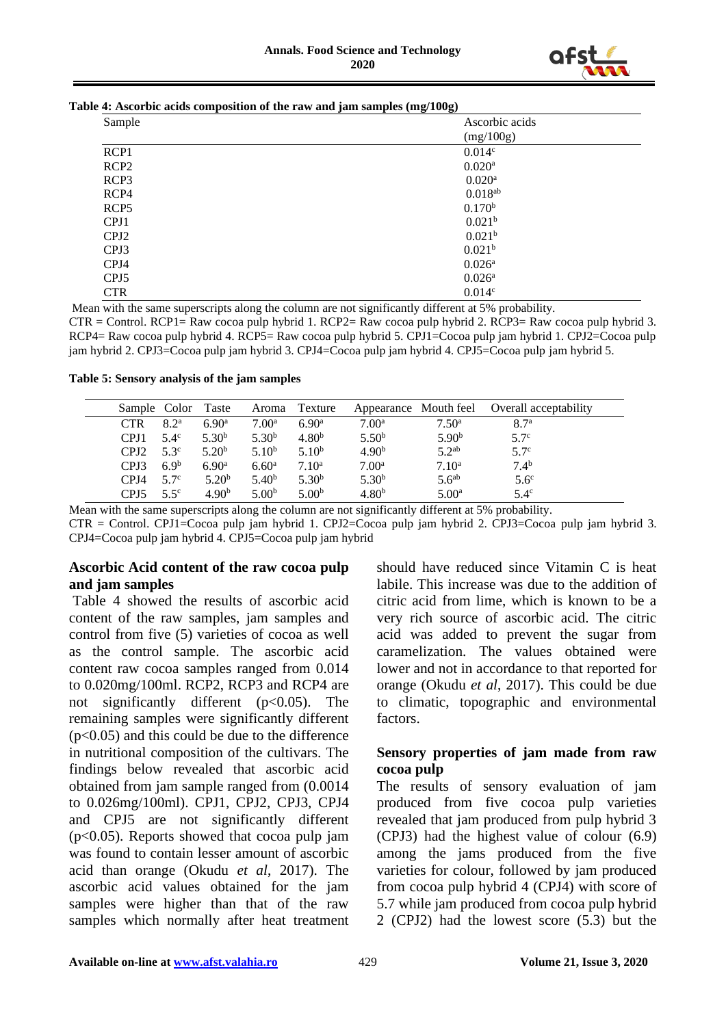

| Table 4: Ascorbic acids composition of the raw and jam samples (mg/100g) |  |
|--------------------------------------------------------------------------|--|
|--------------------------------------------------------------------------|--|

| Sample           | $\cdot$<br>$\overline{\phantom{a}}$<br>$\cdot$<br>Ascorbic acids |
|------------------|------------------------------------------------------------------|
|                  | (mg/100g)                                                        |
| RCP1             | 0.014c                                                           |
| RCP <sub>2</sub> | $0.020$ <sup>a</sup>                                             |
| RCP <sub>3</sub> | $0.020$ <sup>a</sup>                                             |
| RCP4             | $0.018^{ab}$                                                     |
| RCP5             | 0.170 <sup>b</sup>                                               |
| CPJ1             | 0.021 <sup>b</sup>                                               |
| CPJ <sub>2</sub> | 0.021 <sup>b</sup>                                               |
| CPJ3             | 0.021 <sup>b</sup>                                               |
| CPJ4             | $0.026^{\rm a}$                                                  |
| CPJ <sub>5</sub> | $0.026$ <sup>a</sup>                                             |
| <b>CTR</b>       | 0.014c                                                           |

Mean with the same superscripts along the column are not significantly different at 5% probability. CTR = Control. RCP1= Raw cocoa pulp hybrid 1. RCP2= Raw cocoa pulp hybrid 2. RCP3= Raw cocoa pulp hybrid 3. RCP4= Raw cocoa pulp hybrid 4. RCP5= Raw cocoa pulp hybrid 5. CPJ1=Cocoa pulp jam hybrid 1. CPJ2=Cocoa pulp jam hybrid 2. CPJ3=Cocoa pulp jam hybrid 3. CPJ4=Cocoa pulp jam hybrid 4. CPJ5=Cocoa pulp jam hybrid 5.

**Table 5: Sensory analysis of the jam samples**

| Sample Color     |                  | Taste             | Aroma             | Texture           | Appearance Mouth feel |                   | Overall acceptability |
|------------------|------------------|-------------------|-------------------|-------------------|-----------------------|-------------------|-----------------------|
| <b>CTR</b>       | 8.2 <sup>a</sup> | 6.90 <sup>a</sup> | 7.00 <sup>a</sup> | 6.90 <sup>a</sup> | 7.00 <sup>a</sup>     | $7.50^{\circ}$    | 8.7 <sup>a</sup>      |
| CPJ1             | $5.4^\circ$      | 5.30 <sup>b</sup> | $5.30^{b}$        | 4.80 <sup>b</sup> | 5.50 <sup>b</sup>     | 5.90 <sup>b</sup> | 5.7 <sup>c</sup>      |
| CPJ <sub>2</sub> | $5.3^\circ$      | 5.20 <sup>b</sup> | 5.10 <sup>b</sup> | 5.10 <sup>b</sup> | 4.90 <sup>b</sup>     | 5.2 <sup>ab</sup> | 5.7 <sup>c</sup>      |
| CPJ3             | 6.9 <sup>b</sup> | 6.90 <sup>a</sup> | 6.60 <sup>a</sup> | 7.10 <sup>a</sup> | 7.00 <sup>a</sup>     | 7.10 <sup>a</sup> | 7.4 <sup>b</sup>      |
| CPI4             | 5.7 <sup>c</sup> | 5.20 <sup>b</sup> | 5.40 <sup>b</sup> | $5.30^{b}$        | $5.30^{b}$            | 5.6 <sup>ab</sup> | $5.6^\circ$           |
| CPJ <sub>5</sub> | 5.5 <sup>c</sup> | 4.90 <sup>b</sup> | 5.00 <sup>b</sup> | 5.00 <sup>b</sup> | 4.80 <sup>b</sup>     | $5.00^{\rm a}$    | $5.4^\circ$           |
|                  |                  |                   |                   |                   |                       |                   |                       |

Mean with the same superscripts along the column are not significantly different at 5% probability.

CTR = Control. CPJ1=Cocoa pulp jam hybrid 1. CPJ2=Cocoa pulp jam hybrid 2. CPJ3=Cocoa pulp jam hybrid 3. CPJ4=Cocoa pulp jam hybrid 4. CPJ5=Cocoa pulp jam hybrid

### **Ascorbic Acid content of the raw cocoa pulp and jam samples**

Table 4 showed the results of ascorbic acid content of the raw samples, jam samples and control from five (5) varieties of cocoa as well as the control sample. The ascorbic acid content raw cocoa samples ranged from 0.014 to 0.020mg/100ml. RCP2, RCP3 and RCP4 are not significantly different (p<0.05). The remaining samples were significantly different  $(p<0.05)$  and this could be due to the difference in nutritional composition of the cultivars. The findings below revealed that ascorbic acid obtained from jam sample ranged from (0.0014 to 0.026mg/100ml). CPJ1, CPJ2, CPJ3, CPJ4 and CPJ5 are not significantly different  $(p<0.05)$ . Reports showed that cocoa pulp jam was found to contain lesser amount of ascorbic acid than orange (Okudu *et al*, 2017). The ascorbic acid values obtained for the jam samples were higher than that of the raw samples which normally after heat treatment

should have reduced since Vitamin C is heat labile. This increase was due to the addition of citric acid from lime, which is known to be a very rich source of ascorbic acid. The citric acid was added to prevent the sugar from caramelization. The values obtained were lower and not in accordance to that reported for orange (Okudu *et al*, 2017). This could be due to climatic, topographic and environmental factors.

### **Sensory properties of jam made from raw cocoa pulp**

The results of sensory evaluation of jam produced from five cocoa pulp varieties revealed that jam produced from pulp hybrid 3 (CPJ3) had the highest value of colour (6.9) among the jams produced from the five varieties for colour, followed by jam produced from cocoa pulp hybrid 4 (CPJ4) with score of 5.7 while jam produced from cocoa pulp hybrid 2 (CPJ2) had the lowest score (5.3) but the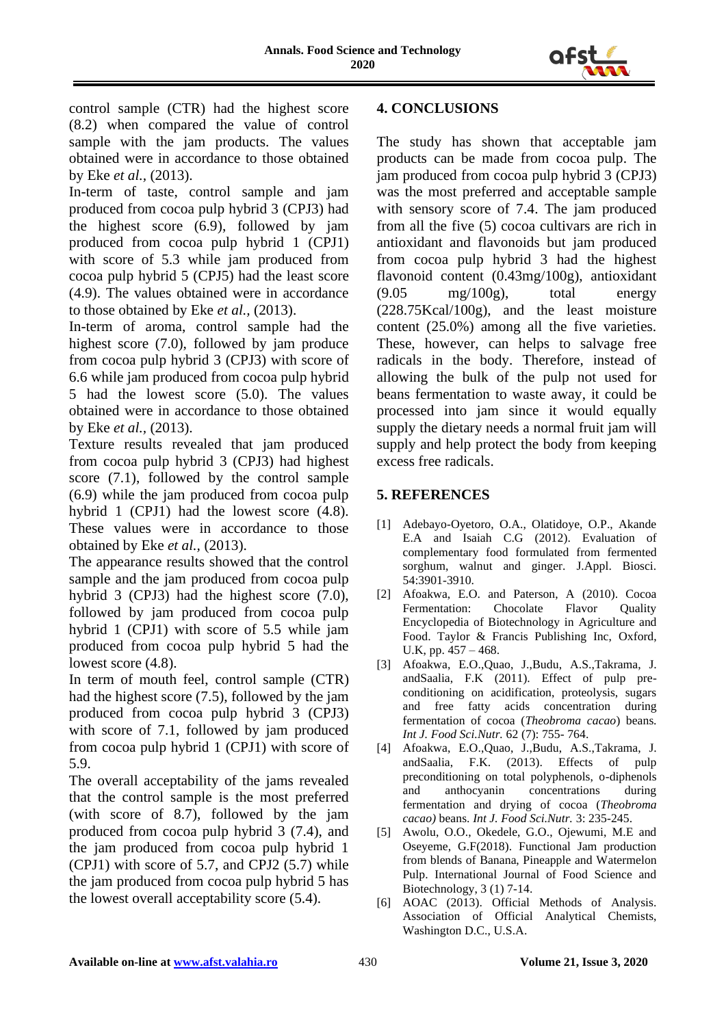

control sample (CTR) had the highest score (8.2) when compared the value of control sample with the jam products. The values obtained were in accordance to those obtained by Eke *et al.,* (2013).

In-term of taste, control sample and jam produced from cocoa pulp hybrid 3 (CPJ3) had the highest score (6.9), followed by jam produced from cocoa pulp hybrid 1 (CPJ1) with score of 5.3 while jam produced from cocoa pulp hybrid 5 (CPJ5) had the least score (4.9). The values obtained were in accordance to those obtained by Eke *et al.,* (2013).

In-term of aroma, control sample had the highest score (7.0), followed by jam produce from cocoa pulp hybrid 3 (CPJ3) with score of 6.6 while jam produced from cocoa pulp hybrid 5 had the lowest score (5.0). The values obtained were in accordance to those obtained by Eke *et al.,* (2013).

Texture results revealed that jam produced from cocoa pulp hybrid 3 (CPJ3) had highest score (7.1), followed by the control sample (6.9) while the jam produced from cocoa pulp hybrid 1 (CPJ1) had the lowest score (4.8). These values were in accordance to those obtained by Eke *et al.,* (2013).

The appearance results showed that the control sample and the jam produced from cocoa pulp hybrid 3 (CPJ3) had the highest score (7.0), followed by jam produced from cocoa pulp hybrid 1 (CPJ1) with score of 5.5 while jam produced from cocoa pulp hybrid 5 had the lowest score  $(4.8)$ .

In term of mouth feel, control sample (CTR) had the highest score (7.5), followed by the jam produced from cocoa pulp hybrid 3 (CPJ3) with score of 7.1, followed by jam produced from cocoa pulp hybrid 1 (CPJ1) with score of 5.9.

The overall acceptability of the jams revealed that the control sample is the most preferred (with score of 8.7), followed by the jam produced from cocoa pulp hybrid 3 (7.4), and the jam produced from cocoa pulp hybrid 1 (CPJ1) with score of 5.7, and CPJ2 (5.7) while the jam produced from cocoa pulp hybrid 5 has the lowest overall acceptability score (5.4).

# **4. CONCLUSIONS**

The study has shown that acceptable jam products can be made from cocoa pulp. The jam produced from cocoa pulp hybrid 3 (CPJ3) was the most preferred and acceptable sample with sensory score of 7.4. The jam produced from all the five (5) cocoa cultivars are rich in antioxidant and flavonoids but jam produced from cocoa pulp hybrid 3 had the highest flavonoid content (0.43mg/100g), antioxidant  $(9.05 \text{ mg}/100 \text{g})$ , total energy (228.75Kcal/100g), and the least moisture content (25.0%) among all the five varieties. These, however, can helps to salvage free radicals in the body. Therefore, instead of allowing the bulk of the pulp not used for beans fermentation to waste away, it could be processed into jam since it would equally supply the dietary needs a normal fruit jam will supply and help protect the body from keeping excess free radicals.

# **5. REFERENCES**

- [1] Adebayo-Oyetoro, O.A., Olatidoye, O.P., Akande E.A and Isaiah C.G (2012). Evaluation of complementary food formulated from fermented sorghum, walnut and ginger. J.Appl. Biosci. 54:3901-3910.
- [2] Afoakwa, E.O. and Paterson, A (2010). Cocoa Fermentation: Chocolate Flavor Quality Encyclopedia of Biotechnology in Agriculture and Food. Taylor & Francis Publishing Inc, Oxford, U.K, pp. 457 – 468.
- [3] Afoakwa, E.O.,Quao, J.,Budu, A.S.,Takrama, J. andSaalia, F.K (2011). Effect of pulp preconditioning on acidification, proteolysis, sugars and free fatty acids concentration during fermentation of cocoa (*Theobroma cacao*) beans. *Int J. Food Sci.Nutr.* 62 (7): 755- 764.
- [4] Afoakwa, E.O.,Quao, J.,Budu, A.S.,Takrama, J. andSaalia, F.K. (2013). Effects of pulp preconditioning on total polyphenols, o-diphenols and anthocyanin concentrations during fermentation and drying of cocoa (*Theobroma cacao)* beans. *Int J. Food Sci.Nutr.* 3: 235-245.
- [5] Awolu, O.O., Okedele, G.O., Ojewumi, M.E and Oseyeme, G.F(2018). Functional Jam production from blends of Banana, Pineapple and Watermelon Pulp. International Journal of Food Science and Biotechnology, 3 (1) 7-14.
- [6] AOAC (2013). Official Methods of Analysis. Association of Official Analytical Chemists, Washington D.C., U.S.A.